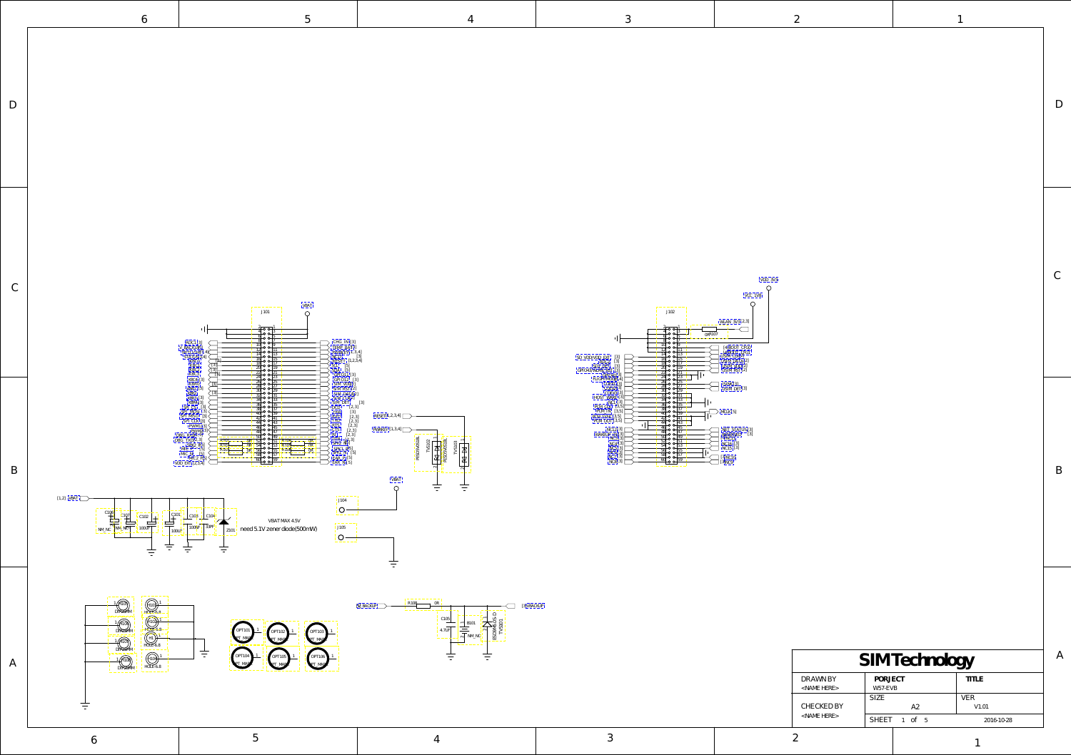D

C

B

A

<span id="page-0-0"></span>

| SIM Technology                |                    |              |  |  |
|-------------------------------|--------------------|--------------|--|--|
| DRAWN BY<br>$<$ NAME HERE $>$ | PORJECT<br>W57-EVB | <b>TITLE</b> |  |  |
| CHECKED BY                    | SIZE.<br>A2        | VER<br>V1.01 |  |  |
| $<$ NAME HERE $>$             | SHEET 1 of 5       | 2016-10-28   |  |  |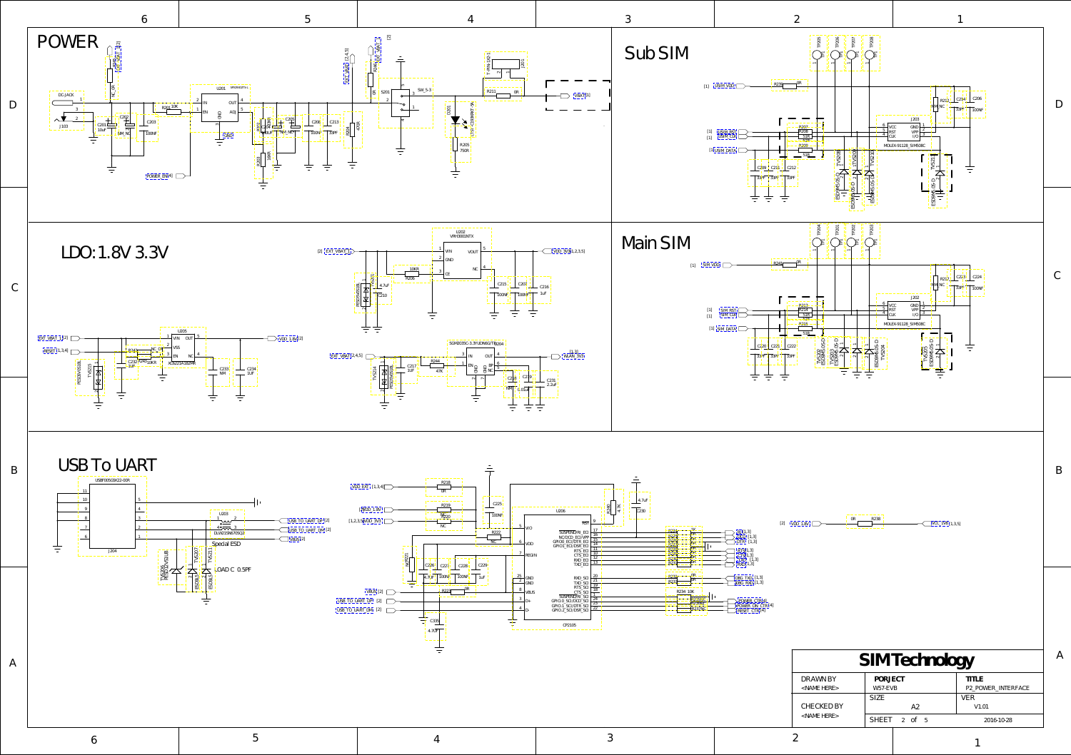A

| SIM Technology                |                    |                                    |  |  |
|-------------------------------|--------------------|------------------------------------|--|--|
| DRAWN BY<br>$<$ NAME HERE $>$ | PORJECT<br>W57-EVB | <b>TITLE</b><br>P2 POWER INTERFACE |  |  |
| CHECKED BY                    | SIZE<br>A2         | VER<br>V <sub>1.01</sub>           |  |  |
| $<$ NAME HERE $>$             | $SHEET$ 2 of 5     | 2016-10-28                         |  |  |

1

A

<span id="page-1-0"></span>



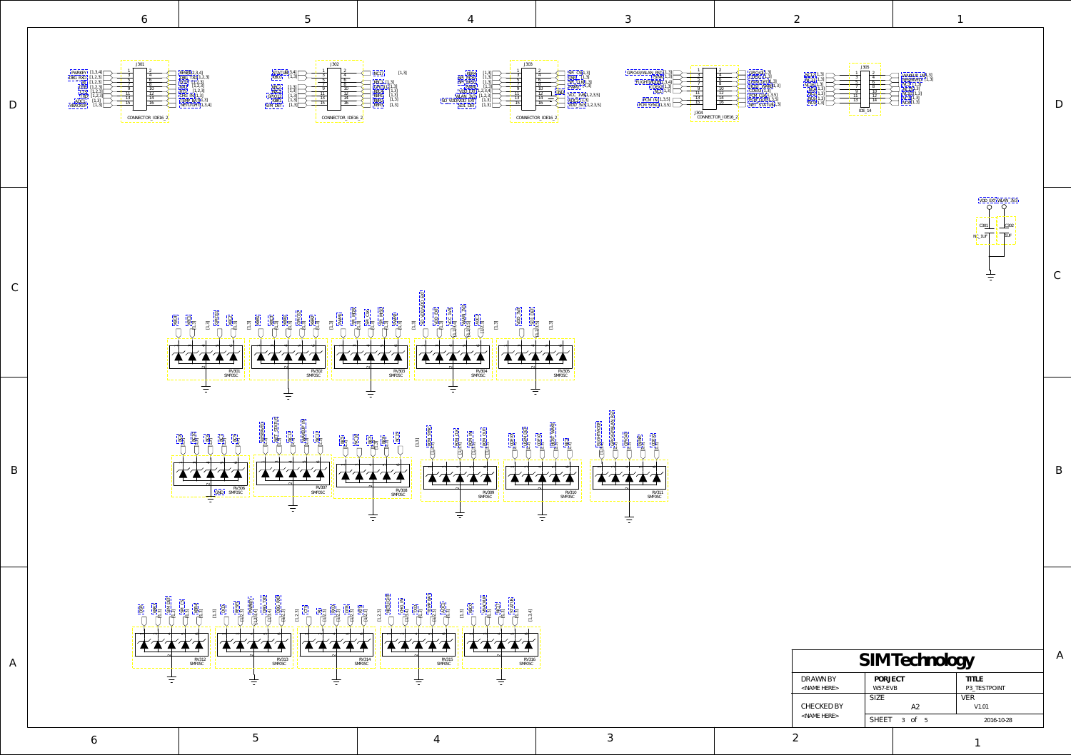6 5 4 3 2

<span id="page-2-0"></span>



| SIM Technology                |                    |                       |  |
|-------------------------------|--------------------|-----------------------|--|
| DRAWN BY<br>$<$ NAME HERE $>$ | PORJECT<br>W57-EVB | TITLE<br>P3_TESTPOINT |  |
| CHECKED BY                    | SIZE.<br>A2        | VER<br>V1.01          |  |
| $<$ NAME HERE $>$             | SHEET 3 of 5       | 2016-10-28            |  |

1

A

B

C

D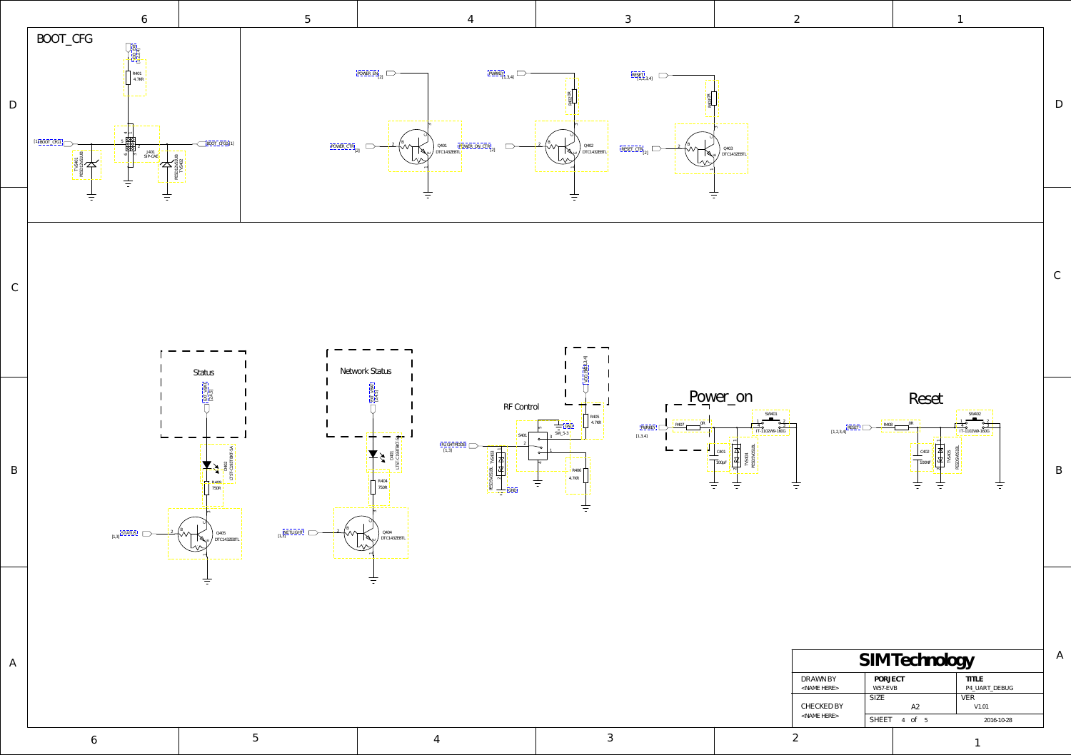| DRAWN BY<br><b>TITLE</b><br>PORJECT<br>P4 UART DEBUG<br>W57-EVB<br>$<$ NAME HERE $>$<br><b>SIZE</b><br>VER<br><b>CHECKED BY</b><br>A2<br>V1.01<br>$<$ NAME HERE $>$ | SIM Technology |              |            |  |  |
|---------------------------------------------------------------------------------------------------------------------------------------------------------------------|----------------|--------------|------------|--|--|
|                                                                                                                                                                     |                |              |            |  |  |
|                                                                                                                                                                     |                |              |            |  |  |
|                                                                                                                                                                     |                | SHEET 4 of 5 | 2016-10-28 |  |  |

6 5 4 3 2



1

<span id="page-3-0"></span>

A

B

 $\mathbb C$ 

D